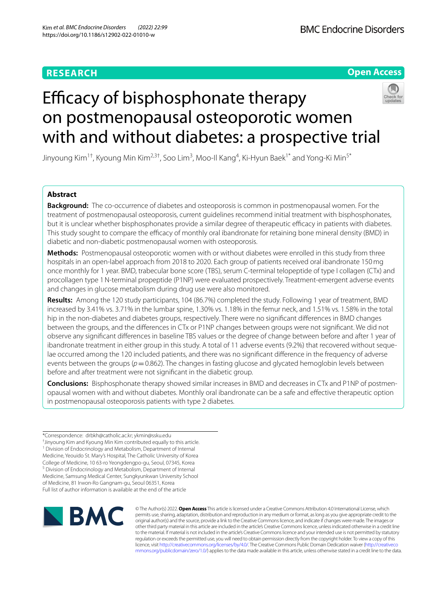## **RESEARCH**

**Open Access**

# Efficacy of bisphosphonate therapy on postmenopausal osteoporotic women with and without diabetes: a prospective trial

Jinyoung Kim $^{1\dagger}$ , Kyoung Min Kim $^{2,3\dagger}$ , Soo Lim $^3$ , Moo-II Kang $^4$ , Ki-Hyun Baek $^{1*}$  and Yong-Ki Min $^{5*}$ 

## **Abstract**

**Background:** The co-occurrence of diabetes and osteoporosis is common in postmenopausal women. For the treatment of postmenopausal osteoporosis, current guidelines recommend initial treatment with bisphosphonates, but it is unclear whether bisphosphonates provide a similar degree of therapeutic efficacy in patients with diabetes. This study sought to compare the efficacy of monthly oral ibandronate for retaining bone mineral density (BMD) in diabetic and non-diabetic postmenopausal women with osteoporosis.

**Methods:** Postmenopausal osteoporotic women with or without diabetes were enrolled in this study from three hospitals in an open-label approach from 2018 to 2020. Each group of patients received oral ibandronate 150mg once monthly for 1 year. BMD, trabecular bone score (TBS), serum C-terminal telopeptide of type I collagen (CTx) and procollagen type 1N-terminal propeptide (P1NP) were evaluated prospectively. Treatment-emergent adverse events and changes in glucose metabolism during drug use were also monitored.

**Results:** Among the 120 study participants, 104 (86.7%) completed the study. Following 1 year of treatment, BMD increased by 3.41% vs. 3.71% in the lumbar spine, 1.30% vs. 1.18% in the femur neck, and 1.51% vs. 1.58% in the total hip in the non-diabetes and diabetes groups, respectively. There were no signifcant diferences in BMD changes between the groups, and the diferences in CTx or P1NP changes between groups were not signifcant. We did not observe any signifcant diferences in baseline TBS values or the degree of change between before and after 1 year of ibandronate treatment in either group in this study. A total of 11 adverse events (9.2%) that recovered without sequelae occurred among the 120 included patients, and there was no signifcant diference in the frequency of adverse events between the groups ( $p=0.862$ ). The changes in fasting glucose and glycated hemoglobin levels between before and after treatment were not signifcant in the diabetic group.

**Conclusions:** Bisphosphonate therapy showed similar increases in BMD and decreases in CTx and P1NP of postmen‑ opausal women with and without diabetes. Monthly oral ibandronate can be a safe and efective therapeutic option in postmenopausal osteoporosis patients with type 2 diabetes.

\*Correspondence: drbkh@catholic.ac.kr; ykmin@ssku.edu

† Jinyoung Kim and Kyoung Min Kim contributed equally to this article.

<sup>1</sup> Division of Endocrinology and Metabolism, Department of Internal Medicine, Yeouido St. Mary's Hospital, The Catholic University of Korea College of Medicine, 10 63‑ro Yeongdengpo‑gu, Seoul, 07345, Korea <sup>5</sup> Division of Endocrinology and Metabolism, Department of Internal Medicine, Samsung Medical Center, Sungkyunkwan University School of Medicine, 81 Irwon‑Ro Gangnam‑gu, Seoul 06351, Korea Full list of author information is available at the end of the article



© The Author(s) 2022. **Open Access** This article is licensed under a Creative Commons Attribution 4.0 International License, which permits use, sharing, adaptation, distribution and reproduction in any medium or format, as long as you give appropriate credit to the original author(s) and the source, provide a link to the Creative Commons licence, and indicate if changes were made. The images or other third party material in this article are included in the article's Creative Commons licence, unless indicated otherwise in a credit line to the material. If material is not included in the article's Creative Commons licence and your intended use is not permitted by statutory regulation or exceeds the permitted use, you will need to obtain permission directly from the copyright holder. To view a copy of this licence, visit [http://creativecommons.org/licenses/by/4.0/.](http://creativecommons.org/licenses/by/4.0/) The Creative Commons Public Domain Dedication waiver ([http://creativeco](http://creativecommons.org/publicdomain/zero/1.0/) [mmons.org/publicdomain/zero/1.0/](http://creativecommons.org/publicdomain/zero/1.0/)) applies to the data made available in this article, unless otherwise stated in a credit line to the data.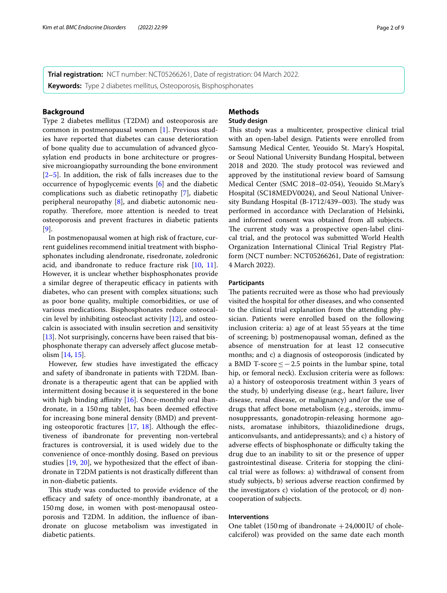**Trial registration:** NCT number: NCT05266261, Date of registration: 04 March 2022. **Keywords:** Type 2 diabetes mellitus, Osteoporosis, Bisphosphonates

## **Background**

Type 2 diabetes mellitus (T2DM) and osteoporosis are common in postmenopausal women [\[1](#page-7-0)]. Previous studies have reported that diabetes can cause deterioration of bone quality due to accumulation of advanced glycosylation end products in bone architecture or progressive microangiopathy surrounding the bone environment [[2–](#page-7-1)[5\]](#page-7-2). In addition, the risk of falls increases due to the occurrence of hypoglycemic events [[6\]](#page-7-3) and the diabetic complications such as diabetic retinopathy [[7\]](#page-7-4), diabetic peripheral neuropathy [[8\]](#page-7-5), and diabetic autonomic neuropathy. Therefore, more attention is needed to treat osteoporosis and prevent fractures in diabetic patients [[9\]](#page-7-6).

In postmenopausal women at high risk of fracture, current guidelines recommend initial treatment with bisphosphonates including alendronate, risedronate, zoledronic acid, and ibandronate to reduce fracture risk [[10,](#page-7-7) [11](#page-7-8)]. However, it is unclear whether bisphosphonates provide a similar degree of therapeutic efficacy in patients with diabetes, who can present with complex situations; such as poor bone quality, multiple comorbidities, or use of various medications. Bisphosphonates reduce osteocalcin level by inhibiting osteoclast activity  $[12]$  $[12]$ , and osteocalcin is associated with insulin secretion and sensitivity [[13\]](#page-7-10). Not surprisingly, concerns have been raised that bisphosphonate therapy can adversely afect glucose metabolism [[14](#page-7-11), [15\]](#page-7-12).

However, few studies have investigated the efficacy and safety of ibandronate in patients with T2DM. Ibandronate is a therapeutic agent that can be applied with intermittent dosing because it is sequestered in the bone with high binding affinity  $[16]$  $[16]$  $[16]$ . Once-monthly oral ibandronate, in a 150mg tablet, has been deemed efective for increasing bone mineral density (BMD) and preventing osteoporotic fractures [[17,](#page-7-14) [18\]](#page-7-15). Although the efectiveness of ibandronate for preventing non-vertebral fractures is controversial, it is used widely due to the convenience of once-monthly dosing. Based on previous studies [[19](#page-7-16), [20\]](#page-7-17), we hypothesized that the effect of ibandronate in T2DM patients is not drastically diferent than in non-diabetic patients.

This study was conducted to provide evidence of the efficacy and safety of once-monthly ibandronate, at a 150mg dose, in women with post-menopausal osteoporosis and T2DM. In addition, the infuence of ibandronate on glucose metabolism was investigated in diabetic patients.

# **Methods**

## **Study design**

This study was a multicenter, prospective clinical trial with an open-label design. Patients were enrolled from Samsung Medical Center, Yeouido St. Mary's Hospital, or Seoul National University Bundang Hospital, between 2018 and 2020. The study protocol was reviewed and approved by the institutional review board of Samsung Medical Center (SMC 2018–02-054), Yeouido St.Mary's Hospital (SC18MEDV0024), and Seoul National University Bundang Hospital (B-1712/439-003). The study was performed in accordance with Declaration of Helsinki, and informed consent was obtained from all subjects. The current study was a prospective open-label clinical trial, and the protocol was submitted World Health Organization International Clinical Trial Registry Platform (NCT number: NCT05266261, Date of registration: 4 March 2022).

## **Participants**

The patients recruited were as those who had previously visited the hospital for other diseases, and who consented to the clinical trial explanation from the attending physician. Patients were enrolled based on the following inclusion criteria: a) age of at least 55 years at the time of screening; b) postmenopausal woman, defned as the absence of menstruation for at least 12 consecutive months; and c) a diagnosis of osteoporosis (indicated by a BMD T-score≤−2.5 points in the lumbar spine, total hip, or femoral neck). Exclusion criteria were as follows: a) a history of osteoporosis treatment within 3 years of the study, b) underlying disease (e.g., heart failure, liver disease, renal disease, or malignancy) and/or the use of drugs that afect bone metabolism (e.g., steroids, immunosuppressants, gonadotropin-releasing hormone agonists, aromatase inhibitors, thiazolidinedione drugs, anticonvulsants, and antidepressants); and c) a history of adverse effects of bisphosphonate or difficulty taking the drug due to an inability to sit or the presence of upper gastrointestinal disease. Criteria for stopping the clinical trial were as follows: a) withdrawal of consent from study subjects, b) serious adverse reaction confrmed by the investigators c) violation of the protocol; or d) noncooperation of subjects.

#### **Interventions**

One tablet (150 mg of ibandronate  $+24,000$  IU of cholecalciferol) was provided on the same date each month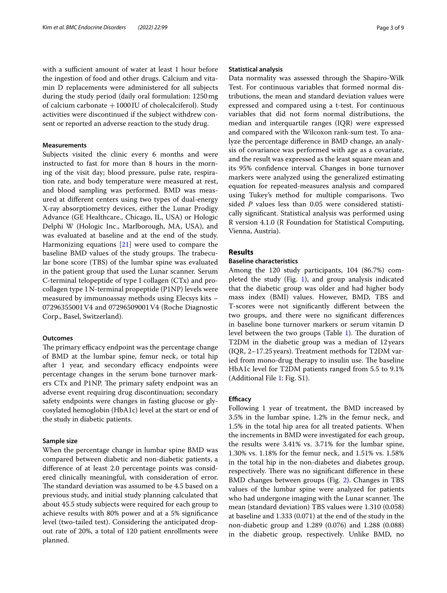with a sufficient amount of water at least 1 hour before the ingestion of food and other drugs. Calcium and vitamin D replacements were administered for all subjects during the study period (daily oral formulation: 1250mg of calcium carbonate +1000IU of cholecalciferol). Study activities were discontinued if the subject withdrew consent or reported an adverse reaction to the study drug.

### **Measurements**

Subjects visited the clinic every 6 months and were instructed to fast for more than 8 hours in the morning of the visit day; blood pressure, pulse rate, respiration rate, and body temperature were measured at rest, and blood sampling was performed. BMD was measured at diferent centers using two types of dual-energy X-ray absorptiometry devices, either the Lunar Prodigy Advance (GE Healthcare., Chicago, IL, USA) or Hologic Delphi W (Hologic Inc., Marlborough, MA, USA), and was evaluated at baseline and at the end of the study. Harmonizing equations [\[21](#page-7-18)] were used to compare the baseline BMD values of the study groups. The trabecular bone score (TBS) of the lumbar spine was evaluated in the patient group that used the Lunar scanner. Serum C-terminal telopeptide of type I collagen (CTx) and procollagen type 1N-terminal propeptide (P1NP) levels were measured by immunoassay methods using Elecsys kits – 07296355001V4 and 07296509001V4 (Roche Diagnostic Corp., Basel, Switzerland).

## **Outcomes**

The primary efficacy endpoint was the percentage change of BMD at the lumbar spine, femur neck, or total hip after 1 year, and secondary efficacy endpoints were percentage changes in the serum bone turnover markers CTx and P1NP. The primary safety endpoint was an adverse event requiring drug discontinuation; secondary safety endpoints were changes in fasting glucose or glycosylated hemoglobin (HbA1c) level at the start or end of the study in diabetic patients.

## **Sample size**

When the percentage change in lumbar spine BMD was compared between diabetic and non-diabetic patients, a diference of at least 2.0 percentage points was considered clinically meaningful, with consideration of error. The standard deviation was assumed to be 4.5 based on a previous study, and initial study planning calculated that about 45.5 study subjects were required for each group to achieve results with 80% power and at a 5% signifcance level (two-tailed test). Considering the anticipated dropout rate of 20%, a total of 120 patient enrollments were planned.

#### **Statistical analysis**

Data normality was assessed through the Shapiro-Wilk Test. For continuous variables that formed normal distributions, the mean and standard deviation values were expressed and compared using a t-test. For continuous variables that did not form normal distributions, the median and interquartile ranges (IQR) were expressed and compared with the Wilcoxon rank-sum test. To analyze the percentage diference in BMD change, an analysis of covariance was performed with age as a covariate, and the result was expressed as the least square mean and its 95% confdence interval. Changes in bone turnover markers were analyzed using the generalized estimating equation for repeated-measures analysis and compared using Tukey's method for multiple comparisons. Two sided *P* values less than 0.05 were considered statistically signifcant. Statistical analysis was performed using R version 4.1.0 (R Foundation for Statistical Computing, Vienna, Austria).

## **Results**

## **Baseline characteristics**

Among the 120 study participants, 104 (86.7%) completed the study (Fig.  $1$ ), and group analysis indicated that the diabetic group was older and had higher body mass index (BMI) values. However, BMD, TBS and T-scores were not signifcantly diferent between the two groups, and there were no signifcant diferences in baseline bone turnover markers or serum vitamin D level between the two groups (Table [1\)](#page-3-1). The duration of T2DM in the diabetic group was a median of 12years (IQR, 2–17.25years). Treatment methods for T2DM varied from mono-drug therapy to insulin use. The baseline HbA1c level for T2DM patients ranged from 5.5 to 9.1% (Additional File [1:](#page-6-0) Fig. S1).

## **Efficacy**

Following 1 year of treatment, the BMD increased by 3.5% in the lumbar spine, 1.2% in the femur neck, and 1.5% in the total hip area for all treated patients. When the increments in BMD were investigated for each group, the results were 3.41% vs. 3.71% for the lumbar spine, 1.30% vs. 1.18% for the femur neck, and 1.51% vs. 1.58% in the total hip in the non-diabetes and diabetes group, respectively. There was no significant difference in these BMD changes between groups (Fig. [2](#page-4-0)). Changes in TBS values of the lumbar spine were analyzed for patients who had undergone imaging with the Lunar scanner. The mean (standard deviation) TBS values were 1.310 (0.058) at baseline and 1.333 (0.071) at the end of the study in the non-diabetic group and 1.289 (0.076) and 1.288 (0.088) in the diabetic group, respectively. Unlike BMD, no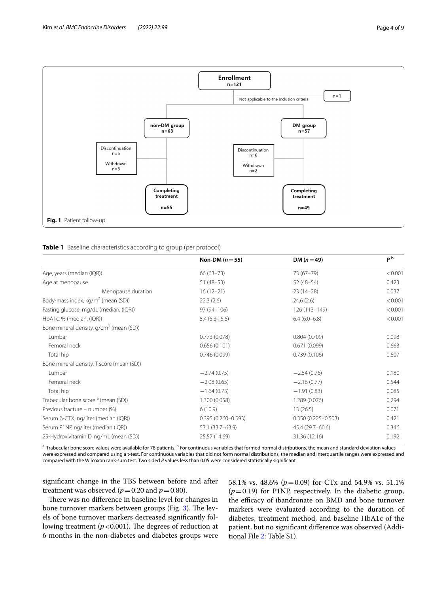

<span id="page-3-1"></span><span id="page-3-0"></span>

|                                                     | Non-DM $(n=55)$        | DM $(n=49)$            | p <sub>b</sub> |
|-----------------------------------------------------|------------------------|------------------------|----------------|
| Age, years (median (IQR))                           | $66(63 - 73)$          | 73 (67-79)             | < 0.001        |
| Age at menopause                                    | $51(48-53)$            | $52(48-54)$            | 0.423          |
| Menopause duration                                  | $16(12-21)$            | $23(14-28)$            | 0.037          |
| Body-mass index, kg/m <sup>2</sup> (mean (SD))      | 22.3(2.6)              | 24.6(2.6)              | < 0.001        |
| Fasting glucose, mg/dL (median, (IQR))              | 97 (94-106)            | 126 (113-149)          | < 0.001        |
| HbA1c, % (median, (IQR))                            | $5.4(5.3 - .5.6)$      | $6.4(6.0-6.8)$         | < 0.001        |
| Bone mineral density, g/cm <sup>2</sup> (mean (SD)) |                        |                        |                |
| Lumbar                                              | 0.773(0.078)           | 0.804(0.709)           | 0.098          |
| Femoral neck                                        | 0.656(0.101)           | 0.671(0.099)           | 0.663          |
| Total hip                                           | 0.746(0.099)           | 0.739(0.106)           | 0.607          |
| Bone mineral density, T score (mean (SD))           |                        |                        |                |
| Lumbar                                              | $-2.74(0.75)$          | $-2.54(0.76)$          | 0.180          |
| Femoral neck                                        | $-2.08(0.65)$          | $-2.16(0.77)$          | 0.544          |
| Total hip                                           | $-1.64(0.75)$          | $-1.91(0.83)$          | 0.085          |
| Trabecular bone score <sup>a</sup> (mean (SD))      | 1.300 (0.058)          | 1.289 (0.076)          | 0.294          |
| Previous fracture – number (%)                      | 6(10.9)                | 13(26.5)               | 0.071          |
| Serum $\beta$ -CTX, ng/liter (median (IQR))         | $0.395(0.260 - 0.593)$ | $0.350(0.225 - 0.503)$ | 0.421          |
| Serum P1NP, ng/liter (median (IQR))                 | 53.1 (33.7–63.9)       | 45.4 (29.7-60.6)       | 0.346          |
| 25-Hydroxivitamin D, ng/mL (mean (SD))              | 25.57 (14.69)          | 31.36 (12.16)          | 0.192          |

<sup>a</sup> Trabecular bone score values were available for 78 patients. <sup>b</sup> For continuous variables that formed normal distributions, the mean and standard deviation values were expressed and compared using a t-test. For continuous variables that did not form normal distributions, the median and interquartile ranges were expressed and compared with the Wilcoxon rank-sum test. Two sided *P* values less than 0.05 were considered statistically signifcant

signifcant change in the TBS between before and after treatment was observed ( $p = 0.20$  and  $p = 0.80$ ).

There was no difference in baseline level for changes in bone turnover markers between groups (Fig. [3\)](#page-4-1). The levels of bone turnover markers decreased signifcantly following treatment ( $p$ <0.001). The degrees of reduction at 6 months in the non-diabetes and diabetes groups were 58.1% vs. 48.6% (*p*=0.09) for CTx and 54.9% vs. 51.1% (*p*=0.19) for P1NP, respectively. In the diabetic group, the efficacy of ibandronate on BMD and bone turnover markers were evaluated according to the duration of diabetes, treatment method, and baseline HbA1c of the patient, but no signifcant diference was observed (Additional File [2](#page-6-1): Table S1).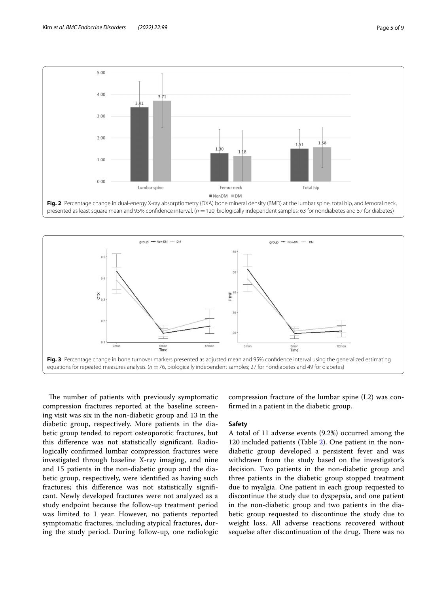

<span id="page-4-0"></span>presented as least square mean and 95% confidence interval. ( $n = 120$ , biologically independent samples; 63 for nondiabetes and 57 for diabetes)



<span id="page-4-1"></span>The number of patients with previously symptomatic compression fractures reported at the baseline screening visit was six in the non-diabetic group and 13 in the diabetic group, respectively. More patients in the diabetic group tended to report osteoporotic fractures, but this diference was not statistically signifcant. Radiologically confrmed lumbar compression fractures were investigated through baseline X-ray imaging, and nine and 15 patients in the non-diabetic group and the diabetic group, respectively, were identifed as having such fractures; this diference was not statistically signifcant. Newly developed fractures were not analyzed as a study endpoint because the follow-up treatment period was limited to 1 year. However, no patients reported symptomatic fractures, including atypical fractures, during the study period. During follow-up, one radiologic

compression fracture of the lumbar spine (L2) was confrmed in a patient in the diabetic group.

#### **Safety**

A total of 11 adverse events (9.2%) occurred among the 120 included patients (Table [2\)](#page-5-0). One patient in the nondiabetic group developed a persistent fever and was withdrawn from the study based on the investigator's decision. Two patients in the non-diabetic group and three patients in the diabetic group stopped treatment due to myalgia. One patient in each group requested to discontinue the study due to dyspepsia, and one patient in the non-diabetic group and two patients in the diabetic group requested to discontinue the study due to weight loss. All adverse reactions recovered without sequelae after discontinuation of the drug. There was no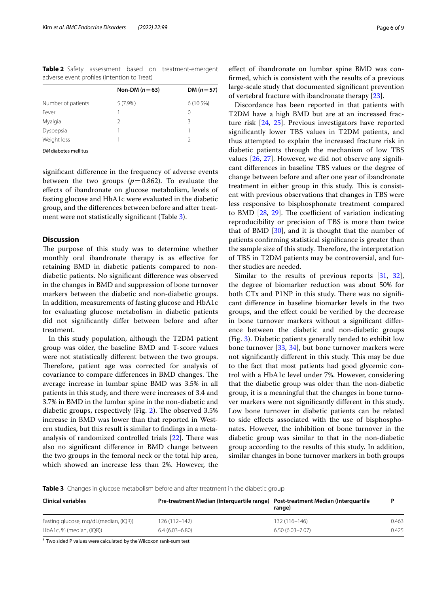<span id="page-5-0"></span>**Table 2** Safety assessment based on treatment-emergent adverse event profles (Intention to Treat)

|                    | Non-DM $(n=63)$ | DM $(n=57)$ |  |
|--------------------|-----------------|-------------|--|
| Number of patients | $5(7.9\%)$      | 6(10.5%)    |  |
| Fever              |                 | 0           |  |
| Myalgia            |                 | ζ           |  |
| Dyspepsia          |                 |             |  |
| Weight loss        |                 |             |  |
|                    |                 |             |  |

*DM* diabetes mellitus

signifcant diference in the frequency of adverse events between the two groups  $(p=0.862)$ . To evaluate the efects of ibandronate on glucose metabolism, levels of fasting glucose and HbA1c were evaluated in the diabetic group, and the diferences between before and after treat-ment were not statistically significant (Table [3\)](#page-5-1).

## **Discussion**

The purpose of this study was to determine whether monthly oral ibandronate therapy is as efective for retaining BMD in diabetic patients compared to nondiabetic patients. No signifcant diference was observed in the changes in BMD and suppression of bone turnover markers between the diabetic and non-diabetic groups. In addition, measurements of fasting glucose and HbA1c for evaluating glucose metabolism in diabetic patients did not signifcantly difer between before and after treatment.

In this study population, although the T2DM patient group was older, the baseline BMD and T-score values were not statistically diferent between the two groups. Therefore, patient age was corrected for analysis of covariance to compare differences in BMD changes. The average increase in lumbar spine BMD was 3.5% in all patients in this study, and there were increases of 3.4 and 3.7% in BMD in the lumbar spine in the non-diabetic and diabetic groups, respectively (Fig. [2\)](#page-4-0). The observed  $3.5\%$ increase in BMD was lower than that reported in Western studies, but this result is similar to fndings in a metaanalysis of randomized controlled trials  $[22]$  $[22]$ . There was also no signifcant diference in BMD change between the two groups in the femoral neck or the total hip area, which showed an increase less than 2%. However, the

efect of ibandronate on lumbar spine BMD was confrmed, which is consistent with the results of a previous large-scale study that documented signifcant prevention of vertebral fracture with ibandronate therapy [\[23\]](#page-7-20).

Discordance has been reported in that patients with T2DM have a high BMD but are at an increased fracture risk [\[24](#page-7-21), [25](#page-7-22)]. Previous investigators have reported signifcantly lower TBS values in T2DM patients, and thus attempted to explain the increased fracture risk in diabetic patients through the mechanism of low TBS values [\[26](#page-7-23), [27](#page-7-24)]. However, we did not observe any signifcant diferences in baseline TBS values or the degree of change between before and after one year of ibandronate treatment in either group in this study. This is consistent with previous observations that changes in TBS were less responsive to bisphosphonate treatment compared to BMD  $[28, 29]$  $[28, 29]$  $[28, 29]$  $[28, 29]$  $[28, 29]$ . The coefficient of variation indicating reproducibility or precision of TBS is more than twice that of BMD  $[30]$ , and it is thought that the number of patients confrming statistical signifcance is greater than the sample size of this study. Therefore, the interpretation of TBS in T2DM patients may be controversial, and further studies are needed.

Similar to the results of previous reports [[31,](#page-8-0) [32](#page-8-1)], the degree of biomarker reduction was about 50% for both CTx and P1NP in this study. There was no significant diference in baseline biomarker levels in the two groups, and the efect could be verifed by the decrease in bone turnover markers without a signifcant diference between the diabetic and non-diabetic groups (Fig. [3](#page-4-1)). Diabetic patients generally tended to exhibit low bone turnover [\[33,](#page-8-2) [34](#page-8-3)], but bone turnover markers were not significantly different in this study. This may be due to the fact that most patients had good glycemic control with a HbA1c level under 7%. However, considering that the diabetic group was older than the non-diabetic group, it is a meaningful that the changes in bone turnover markers were not signifcantly diferent in this study. Low bone turnover in diabetic patients can be related to side efects associated with the use of bisphosphonates. However, the inhibition of bone turnover in the diabetic group was similar to that in the non-diabetic group according to the results of this study. In addition, similar changes in bone turnover markers in both groups

<span id="page-5-1"></span>**Table 3** Changes in glucose metabolism before and after treatment in the diabetic group

| <b>Clinical variables</b>             | Pre-treatment Median (Interguartile range) Post-treatment Median (Interguartile | range)              |       |
|---------------------------------------|---------------------------------------------------------------------------------|---------------------|-------|
| Fasting glucose, mg/dL(median, (IQR)) | $126(112 - 142)$                                                                | $132(116 - 146)$    | 0.463 |
| HbA1c, % (median, (IQR))              | $6.4(6.03 - 6.80)$                                                              | $6.50(6.03 - 7.07)$ | 0.425 |

<sup>a</sup> Two sided P values were calculated by the Wilcoxon rank-sum test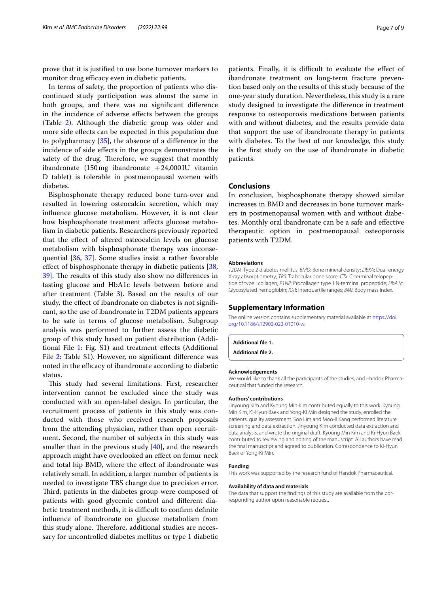prove that it is justifed to use bone turnover markers to monitor drug efficacy even in diabetic patients.

In terms of safety, the proportion of patients who discontinued study participation was almost the same in both groups, and there was no signifcant diference in the incidence of adverse efects between the groups (Table [2\)](#page-5-0). Although the diabetic group was older and more side efects can be expected in this population due to polypharmacy [\[35](#page-8-4)], the absence of a diference in the incidence of side efects in the groups demonstrates the safety of the drug. Therefore, we suggest that monthly ibandronate  $(150 \text{ mg}$  ibandronate  $+24,000 \text{ IU}$  vitamin D tablet) is tolerable in postmenopausal women with diabetes.

Bisphosphonate therapy reduced bone turn-over and resulted in lowering osteocalcin secretion, which may infuence glucose metabolism. However, it is not clear how bisphosphonate treatment afects glucose metabolism in diabetic patients. Researchers previously reported that the efect of altered osteocalcin levels on glucose metabolism with bisphosphonate therapy was inconsequential [[36,](#page-8-5) [37\]](#page-8-6). Some studies insist a rather favorable effect of bisphosphonate therapy in diabetic patients [\[38](#page-8-7), 39. The results of this study also show no differences in fasting glucose and HbA1c levels between before and after treatment (Table [3](#page-5-1)). Based on the results of our study, the efect of ibandronate on diabetes is not signifcant, so the use of ibandronate in T2DM patients appears to be safe in terms of glucose metabolism. Subgroup analysis was performed to further assess the diabetic group of this study based on patient distribution (Addi-tional File [1:](#page-6-0) Fig. S1) and treatment effects (Additional File [2:](#page-6-1) Table S1). However, no significant difference was noted in the efficacy of ibandronate according to diabetic status.

This study had several limitations. First, researcher intervention cannot be excluded since the study was conducted with an open-label design. In particular, the recruitment process of patients in this study was conducted with those who received research proposals from the attending physician, rather than open recruitment. Second, the number of subjects in this study was smaller than in the previous study [[40\]](#page-8-9), and the research approach might have overlooked an efect on femur neck and total hip BMD, where the efect of ibandronate was relatively small. In addition, a larger number of patients is needed to investigate TBS change due to precision error. Third, patients in the diabetes group were composed of patients with good glycemic control and diferent diabetic treatment methods, it is difficult to confirm definite infuence of ibandronate on glucose metabolism from this study alone. Therefore, additional studies are necessary for uncontrolled diabetes mellitus or type 1 diabetic patients. Finally, it is difficult to evaluate the effect of ibandronate treatment on long-term fracture prevention based only on the results of this study because of the one-year study duration. Nevertheless, this study is a rare study designed to investigate the diference in treatment response to osteoporosis medications between patients with and without diabetes, and the results provide data that support the use of ibandronate therapy in patients with diabetes. To the best of our knowledge, this study is the frst study on the use of ibandronate in diabetic patients.

## **Conclusions**

In conclusion, bisphosphonate therapy showed similar increases in BMD and decreases in bone turnover markers in postmenopausal women with and without diabetes. Monthly oral ibandronate can be a safe and efective therapeutic option in postmenopausal osteoporosis patients with T2DM.

#### **Abbreviations**

*T2DM*: Type 2 diabetes mellitus; *BMD*: Bone mineral density; *DEXA*: Dual-energy X-ray absorptiometry; *TBS*: Trabecular bone score; *CTx*: C-terminal telopep‑ tide of type I collagen; *P1NP*: Procollagen type 1N-terminal propeptide; *HbA1c*: Glycosylated hemoglobin; *IQR*: Interquartile ranges; *BMI*: Body mass index.

#### **Supplementary Information**

The online version contains supplementary material available at [https://doi.](https://doi.org/10.1186/s12902-022-01010-w) [org/10.1186/s12902-022-01010-w.](https://doi.org/10.1186/s12902-022-01010-w)

<span id="page-6-1"></span><span id="page-6-0"></span>**Additional fle 1.**

**Additional fle 2.**

#### **Acknowledgements**

We would like to thank all the participants of the studies, and Handok Pharmaceutical that funded the research.

#### **Authors' contributions**

Jinyoung Kim and Kyoung Min Kim contributed equally to this work. Kyoung Min Kim, Ki-Hyun Baek and Yong-Ki Min designed the study, enrolled the patients, quality assessment. Soo Lim and Moo-Il Kang performed literature screening and data extraction. Jinyoung Kim conducted data extraction and data analysis, and wrote the original draft. Kyoung Min Kim and Ki-Hyun Baek contributed to reviewing and editing of the manuscript. All authors have read the fnal manuscript and agreed to publication. Correspondence to Ki-Hyun Baek or Yong-Ki Min.

#### **Funding**

This work was supported by the research fund of Handok Pharmaceutical.

#### **Availability of data and materials**

The data that support the findings of this study are available from the corresponding author upon reasonable request.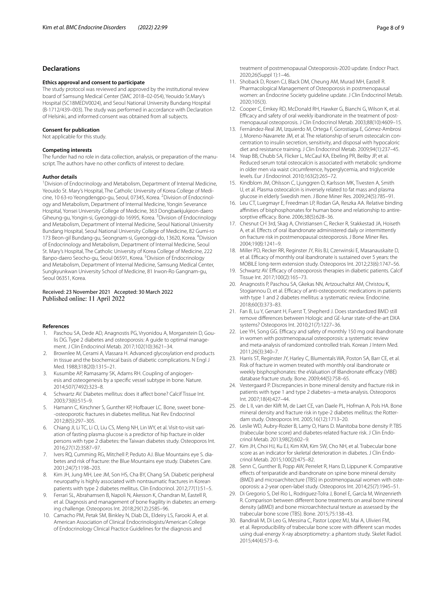## **Declarations**

#### **Ethics approval and consent to participate**

The study protocol was reviewed and approved by the institutional review board of Samsung Medical Center (SMC 2018–02-054), Yeouido St.Mary's Hospital (SC18MEDV0024), and Seoul National University Bundang Hospital (B-1712/439–003). The study was performed in accordance with Declaration of Helsinki, and informed consent was obtained from all subjects.

#### **Consent for publication**

Not applicable for this study.

#### **Competing interests**

The funder had no role in data collection, analysis, or preparation of the manuscript. The authors have no other conficts of interest to declare.

#### **Author details**

<sup>1</sup> Division of Endocrinology and Metabolism, Department of Internal Medicine, Yeouido St. Mary's Hospital, The Catholic University of Korea College of Medicine, 10 63-ro Yeongdengpo-gu, Seoul, 07345, Korea. <sup>2</sup> Division of Endocrinology and Metabolism, Department of Internal Medicine, Yongin Severance Hospital, Yonsei University College of Medicine, 363 Dongbaekjukjeon‑daero Giheung-gu, Yongin-si, Gyeonggi-do 16995, Korea. <sup>3</sup>Division of Endocrinology and Metabolism, Department of Internal Medicine, Seoul National University Bundang Hospital, Seoul National University College of Medicine, 82 Gumi-ro 173 Beon-gil Bundang-gu, Seongnam-si, Gyeonggi-do, 13620, Korea. <sup>4</sup>Division of Endocrinology and Metabolism, Department of Internal Medicine, Seoul St. Mary's Hospital, The Catholic University of Korea College of Medicine, 222 Banpo-daero Seocho-gu, Seoul 06591, Korea. <sup>5</sup> Division of Endocrinology and Metabolism, Department of Internal Medicine, Samsung Medical Center, Sungkyunkwan University School of Medicine, 81 Irwon‑Ro Gangnam‑gu, Seoul 06351, Korea.

#### Received: 23 November 2021 Accepted: 30 March 2022 Published online: 11 April 2022

#### **References**

- <span id="page-7-0"></span>1. Paschou SA, Dede AD, Anagnostis PG, Vryonidou A, Morganstein D, Goulis DG. Type 2 diabetes and osteoporosis: A guide to optimal management. J Clin Endocrinol Metab. 2017;102(10):3621–34.
- <span id="page-7-1"></span>2. Brownlee M, Cerami A, Vlassara H. Advanced glycosylation end products in tissue and the biochemical basis of diabetic complications. N Engl J Med. 1988;318(20):1315–21.
- 3. Kusumbe AP, Ramasamy SK, Adams RH. Coupling of angiogenesis and osteogenesis by a specifc vessel subtype in bone. Nature. 2014;507(7492):323–8.
- 4. Schwartz AV. Diabetes mellitus: does it afect bone? Calcif Tissue Int. 2003;73(6):515–9.
- <span id="page-7-2"></span>5. Hamann C, Kirschner S, Gunther KP, Hofbauer LC. Bone, sweet bone--osteoporotic fractures in diabetes mellitus. Nat Rev Endocrinol 2012;8(5):297–305.
- <span id="page-7-3"></span>6. Chiang Jl, Li TC, Li Cl, Liu CS, Meng NH, Lin WY, et al. Visit-to-visit variation of fasting plasma glucose is a predictor of hip fracture in older persons with type 2 diabetes: the Taiwan diabetes study. Osteoporos Int. 2016;27(12):3587–97.
- <span id="page-7-4"></span>7. Ivers RQ, Cumming RG, Mitchell P, Peduto AJ. Blue Mountains eye S. diabetes and risk of fracture: the Blue Mountains eye study. Diabetes Care. 2001;24(7):1198–203.
- <span id="page-7-5"></span>8. Kim JH, Jung MH, Lee JM, Son HS, Cha BY, Chang SA. Diabetic peripheral neuropathy is highly associated with nontraumatic fractures in Korean patients with type 2 diabetes mellitus. Clin Endocrinol. 2012;77(1):51–5.
- <span id="page-7-6"></span>9. Ferrari SL, Abrahamsen B, Napoli N, Akesson K, Chandran M, Eastell R, et al. Diagnosis and management of bone fragility in diabetes: an emerging challenge. Osteoporos Int. 2018;29(12):2585–96.
- <span id="page-7-7"></span>10. Camacho PM, Petak SM, Binkley N, Diab DL, Eldeiry LS, Farooki A, et al. American Association of Clinical Endocrinologists/American College of Endocrinology Clinical Practice Guidelines for the diagnosis and

treatment of postmenopausal Osteoporosis-2020 update. Endocr Pract. 2020;26(Suppl 1):1–46.

- <span id="page-7-8"></span>11. Shoback D, Rosen CJ, Black DM, Cheung AM, Murad MH, Eastell R. Pharmacological Management of Osteoporosis in postmenopausal women: an Endocrine Society guideline update. J Clin Endocrinol Metab. 2020;105(3).
- <span id="page-7-9"></span>12. Cooper C, Emkey RD, McDonald RH, Hawker G, Bianchi G, Wilson K, et al. Efficacy and safety of oral weekly ibandronate in the treatment of postmenopausal osteoporosis. J Clin Endocrinol Metab. 2003;88(10):4609–15.
- <span id="page-7-10"></span>13. Fernández-Real JM, Izquierdo M, Ortega F, Gorostiaga E, Gómez-Ambrosi J, Moreno-Navarrete JM, et al. The relationship of serum osteocalcin concentration to insulin secretion, sensitivity, and disposal with hypocaloric diet and resistance training. J Clin Endocrinol Metab. 2009;94(1):237–45.
- <span id="page-7-11"></span>14. Yeap BB, Chubb SA, Flicker L, McCaul KA, Ebeling PR, Beilby JP, et al. Reduced serum total osteocalcin is associated with metabolic syndrome in older men via waist circumference, hyperglycemia, and triglyceride levels. Eur J Endocrinol. 2010;163(2):265–72.
- <span id="page-7-12"></span>15. Kindblom JM, Ohlsson C, Ljunggren O, Karlsson MK, Tivesten A, Smith U, et al. Plasma osteocalcin is inversely related to fat mass and plasma glucose in elderly Swedish men. J Bone Miner Res. 2009;24(5):785–91.
- <span id="page-7-13"></span>16. Leu CT, Luegmayr E, Freedman LP, Rodan GA, Reszka AA. Relative binding affinities of bisphosphonates for human bone and relationship to antiresorptive efficacy. Bone. 2006;38(5):628-36.
- <span id="page-7-14"></span>17. Chesnut CH 3rd, Skag A, Christiansen C, Recker R, Stakkestad JA, Hoiseth A, et al. Efects of oral ibandronate administered daily or intermittently on fracture risk in postmenopausal osteoporosis. J Bone Miner Res. 2004;19(8):1241–9.
- <span id="page-7-15"></span>18. Miller PD, Recker RR, Reginster JY, Riis BJ, Czerwinski E, Masanauskaite D, et al. Efficacy of monthly oral ibandronate is sustained over 5 years: the MOBILE long-term extension study. Osteoporos Int. 2012;23(6):1747–56.
- <span id="page-7-16"></span>19. Schwartz AV. Efficacy of osteoporosis therapies in diabetic patients. Calcif Tissue Int. 2017;100(2):165–73.
- <span id="page-7-17"></span>20. Anagnostis P, Paschou SA, Gkekas NN, Artzouchaltzi AM, Christou K, Stogiannou D, et al. Efficacy of anti-osteoporotic medications in patients with type 1 and 2 diabetes mellitus: a systematic review. Endocrine. 2018;60(3):373–83.
- <span id="page-7-18"></span>21. Fan B, Lu Y, Genant H, Fuerst T, Shepherd J. Does standardized BMD still remove diferences between Hologic and GE-lunar state-of-the-art DXA systems? Osteoporos Int. 2010;21(7):1227–36.
- <span id="page-7-19"></span>22. Lee YH, Song GG. Efficacy and safety of monthly 150 mg oral ibandronate in women with postmenopausal osteoporosis: a systematic review and meta-analysis of randomized controlled trials. Korean J Intern Med. 2011;26(3):340–7.
- <span id="page-7-20"></span>23. Harris ST, Reginster JY, Harley C, Blumentals WA, Poston SA, Barr CE, et al. Risk of fracture in women treated with monthly oral ibandronate or weekly bisphosphonates: the eValuation of IBandronate efficacy (VIBE) database fracture study. Bone. 2009;44(5):758–65.
- <span id="page-7-21"></span>24. Vestergaard P. Discrepancies in bone mineral density and fracture risk in patients with type 1 and type 2 diabetes--a meta-analysis. Osteoporos Int. 2007;18(4):427–44.
- <span id="page-7-22"></span>25. de L II, van der Klift M, de Laet CE, van Daele PL, Hofman A, Pols HA. Bone mineral density and fracture risk in type-2 diabetes mellitus: the Rotterdam study. Osteoporos Int. 2005;16(12):1713–20.
- <span id="page-7-23"></span>26. Leslie WD, Aubry-Rozier B, Lamy O, Hans D. Manitoba bone density P. TBS (trabecular bone score) and diabetes-related fracture risk. J Clin Endocrinol Metab. 2013;98(2):602–9.
- <span id="page-7-24"></span>27. Kim JH, Choi HJ, Ku EJ, Kim KM, Kim SW, Cho NH, et al. Trabecular bone score as an indicator for skeletal deterioration in diabetes. J Clin Endocrinol Metab. 2015;100(2):475–82.
- <span id="page-7-25"></span>28. Senn C, Gunther B, Popp AW, Perrelet R, Hans D, Lippuner K. Comparative efects of teriparatide and ibandronate on spine bone mineral density (BMD) and microarchitecture (TBS) in postmenopausal women with osteoporosis: a 2-year open-label study. Osteoporos Int. 2014;25(7):1945–51.
- <span id="page-7-26"></span>29. Di Gregorio S, Del Rio L, Rodriguez-Tolra J, Bonel E, García M, Winzenrieth R. Comparison between diferent bone treatments on areal bone mineral density (aBMD) and bone microarchitectural texture as assessed by the trabecular bone score (TBS). Bone. 2015;75:138–43.
- <span id="page-7-27"></span>30. Bandirali M, Di Leo G, Messina C, Pastor Lopez MJ, Mai A, Ulivieri FM, et al. Reproducibility of trabecular bone score with diferent scan modes using dual-energy X-ray absorptiometry: a phantom study. Skelet Radiol. 2015;44(4):573–6.